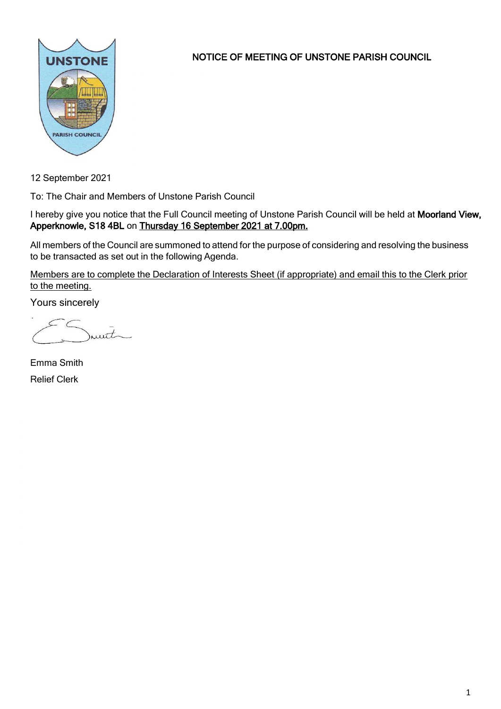

NOTICE OF MEETING OF UNSTONE PARISH COUNCIL

12 September 2021

To: The Chair and Members of Unstone Parish Council

I hereby give you notice that the Full Council meeting of Unstone Parish Council will be held at Moorland View, Apperknowle, S18 4BL on Thursday 16 September 2021 at 7.00pm.

All members of the Council are summoned to attend for the purpose of considering and resolving the business to be transacted as set out in the following Agenda.

Members are to complete the Declaration of Interests Sheet (if appropriate) and email this to the Clerk prior to the meeting.

Yours sincerely

munit

Emma Smith Relief Clerk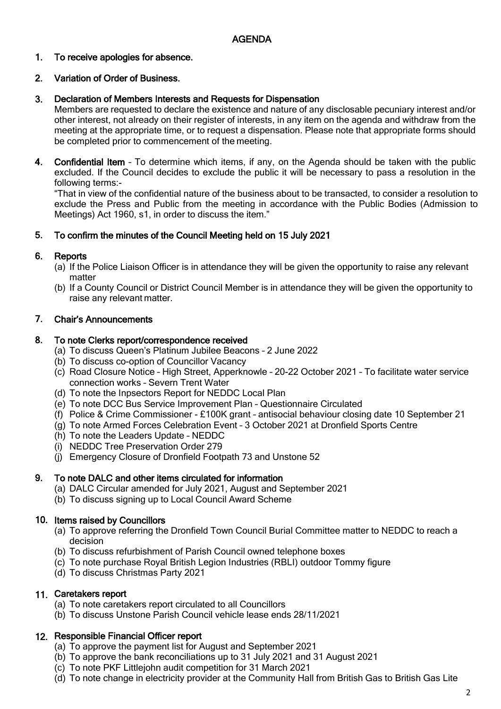#### 1. To receive apologies for absence.

#### 2. Variation of Order of Business.

#### 3. Declaration of Members Interests and Requests for Dispensation

Members are requested to declare the existence and nature of any disclosable pecuniary interest and/or other interest, not already on their register of interests, in any item on the agenda and withdraw from the meeting at the appropriate time, or to request a dispensation. Please note that appropriate forms should be completed prior to commencement of the meeting.

4. Confidential Item – To determine which items, if any, on the Agenda should be taken with the public excluded. If the Council decides to exclude the public it will be necessary to pass a resolution in the following terms:-

"That in view of the confidential nature of the business about to be transacted, to consider a resolution to exclude the Press and Public from the meeting in accordance with the Public Bodies (Admission to Meetings) Act 1960, s1, in order to discuss the item."

#### 5. To confirm the minutes of the Council Meeting held on 15 July 2021

#### 6. **Reports**

- (a) If the Police Liaison Officer is in attendance they will be given the opportunity to raise any relevant matter
- (b) If a County Council or District Council Member is in attendance they will be given the opportunity to raise any relevant matter.

#### 7. Chair's Announcements

#### 8. To note Clerks report/correspondence received

- (a) To discuss Queen's Platinum Jubilee Beacons 2 June 2022
- (b) To discuss co-option of Councillor Vacancy
- (c) Road Closure Notice High Street, Apperknowle 20-22 October 2021 To facilitate water service connection works – Severn Trent Water
- (d) To note the Inpsectors Report for NEDDC Local Plan
- (e) To note DCC Bus Service Improvement Plan Questionnaire Circulated
- (f) Police & Crime Commissioner £100K grant antisocial behaviour closing date 10 September 21
- (g) To note Armed Forces Celebration Event 3 October 2021 at Dronfield Sports Centre
- (h) To note the Leaders Update NEDDC
- (i) NEDDC Tree Preservation Order 279
- (j) Emergency Closure of Dronfield Footpath 73 and Unstone 52

#### 9. To note DALC and other items circulated for information

- (a) DALC Circular amended for July 2021, August and September 2021
- (b) To discuss signing up to Local Council Award Scheme

## 10. Items raised by Councillors

- (a) To approve referring the Dronfield Town Council Burial Committee matter to NEDDC to reach a decision
- (b) To discuss refurbishment of Parish Council owned telephone boxes
- (c) To note purchase Royal British Legion Industries (RBLI) outdoor Tommy figure
- (d) To discuss Christmas Party 2021

## 11. Caretakers report

- (a) To note caretakers report circulated to all Councillors
- (b) To discuss Unstone Parish Council vehicle lease ends 28/11/2021

## 12. Responsible Financial Officer report

- (a) To approve the payment list for August and September 2021
- (b) To approve the bank reconciliations up to 31 July 2021 and 31 August 2021
- (c) To note PKF Littlejohn audit competition for 31 March 2021
- (d) To note change in electricity provider at the Community Hall from British Gas to British Gas Lite